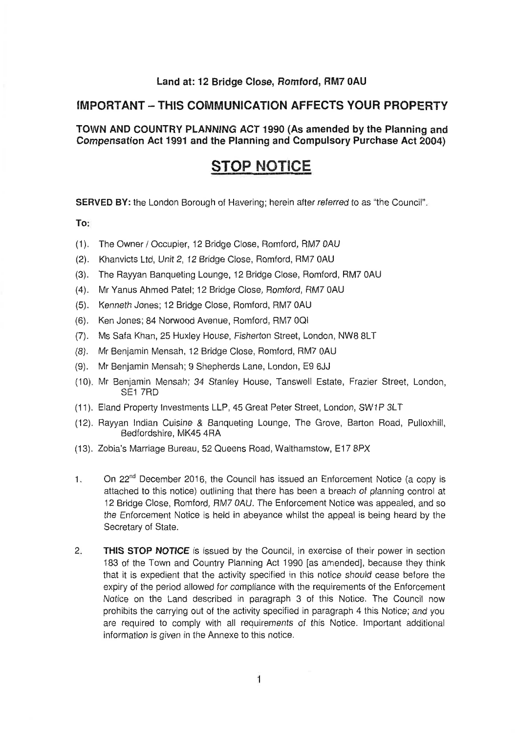#### **Land at: 12 Bridge Close, Romford, RM7 0AU**

#### **IMPORTANT** -**THIS COMMUNICATION AFFECTS YOUR PROPERTY**

#### **TOWN AND COUNTRY PLANNING ACT I990 (As amended by the Planning and Compensation Act 1991 and the Planning and Compulsory Purchase Act 2004)**

### **STOP NOTICE**

**SERVED BY:** the London Borough of Havering; herein after referred to as "the Council".

#### **To:**

- (1). The Owner / Occupier, 12 Bridge Close, Romford, RM7 0AU
- (2). Khanvicts Ltd, Unit 2, 12 Bridge Close, Romford, RM7 0AU
- The Rayyan Banqueting Lounge, 12 Bridge Close, Romford, RM7 OAU  $(3).$
- (4). Mr Yanus Ahmed Patel; 12 Bridge Close, Romford, RM7 0AU
- (5). Kenneth Jones; 12 Bridge Close, Romford, RM7 0AU
- (6). Ken Jones; 84 Norwood Avenue, Romford, RM7 0QI
- MS Safa Khan, 25 Huxley House, Fisherton Street, London, NW8 8LT
- (8). Mr Benjamin Mensah, 12 Bridge Close, Romford, RM7 0AU
- Mr Benjamin Mensah; 9 Shepherds Lane, London, E9 6JJ
- (10). Mr Benjamin Mensah; 34 Stanley House, Tanswell Estate, Frazier Street, London, SE1 7RD
- (11). Eland Property Investments LLP, 45 Great Peter Street, London, SW1P 3LT
- (12). Rayyan Indian Cuisine & Banqueting Lounge, The Grove, Barton Road, Pulloxhill, Bedfordshire, MK45 4RA
- (13). Zobia's Marriage Bureau, 52 Queens Road, Walthamstow, E17 8PX
- 1. On 22<sup>nd</sup> December 2016, the Council has issued an Enforcement Notice (a copy is attached to this notice) outlining that there has been a breach of planning control at 12 Bridge Close, Romford, RM7 OAU. The Enforcement Notice was appealed, and so the Enforcement Notice is held in abeyance whilst the appeal is being heard by the Secretary of State.
- **2. THIS STOP NOTICE** is issued by the Council, in exercise of their power in section 183 of the Town and Country Planning Act 1990 [as amended], because they think that it is expedient that the activity specified in this notice should cease before the expiry of the period allowed for compliance with the requirements of the Enforcement Notice on the Land described in paragraph 3 of this Notice. The Council now prohibits the carrying out of the activity specified in paragraph 4 this Notice; and you are required to comply with all requirements of this Notice. Important additional information is given in the Annexe to this notice.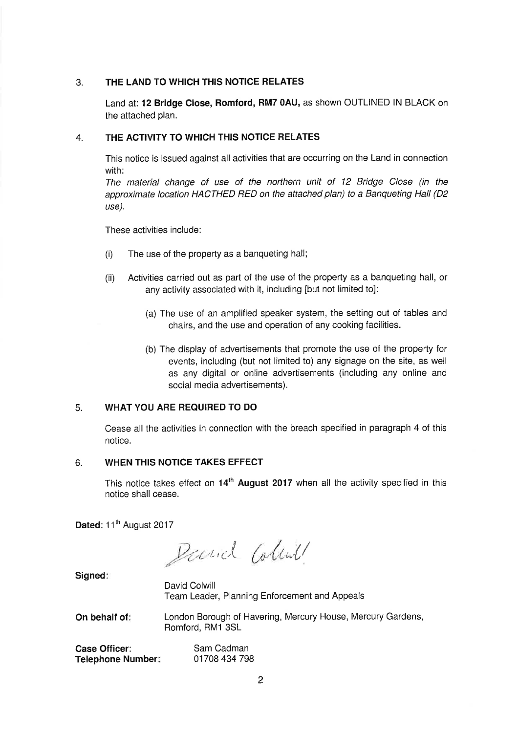#### 3. **THE LAND TO WHICH THIS NOTICE RELATES**

Land at: **12 Bridge Close, Romford, RM7 OAU,** as shown OUTLINED IN BLACK on the attached plan.

#### 4. **THE ACTIVITY TO WHICH THIS NOTlCE RELATES**

This notice is issued against all activities that are occurring on the Land in connection with:

The material change of use of the northern unit of 12 Bridge Close (in the approximate location HACTHED RED on the attached plan) to a Banqueting Hall (D2 use).

These activities include:

- (i) The use of the property as a banqueting hall;
- (ii) Activities carried out as part of the use of the property as a banqueting hall, or any activity associated with it, including [but not limited to]:
	- (a) The use of an amplified speaker system, the setting out of tables and chairs, and the use and operation of any cooking facilities.
	- (b) The display of advertisements that promote the use of the property for events, including (but not limited to) any signage on the site, as well as any digital or online advertisements (including any online and social media advertisements).

#### 5. **WHAT YOU ARE REQUIRED TO DO**

Cease all the activities in connection with the breach specified in paragraph 4 of this notice.

#### 6. **WHEN THIS NOTICE TAKES EFFECT**

This notice takes effect on **14'~August 2017** when all the activity specified in this notice shall cease.

Dated: 11<sup>th</sup> August 2017

Parial Colink

**Signed:** 

David Colwill Team Leader, Planning Enforcement and Appeals

**On behalf of:** London Borough of Havering, Mercury House, Mercury Gardens, Romford, RM1 3SL

| Case Officer:     | Sam Cadman    |
|-------------------|---------------|
| Telephone Number: | 01708 434 798 |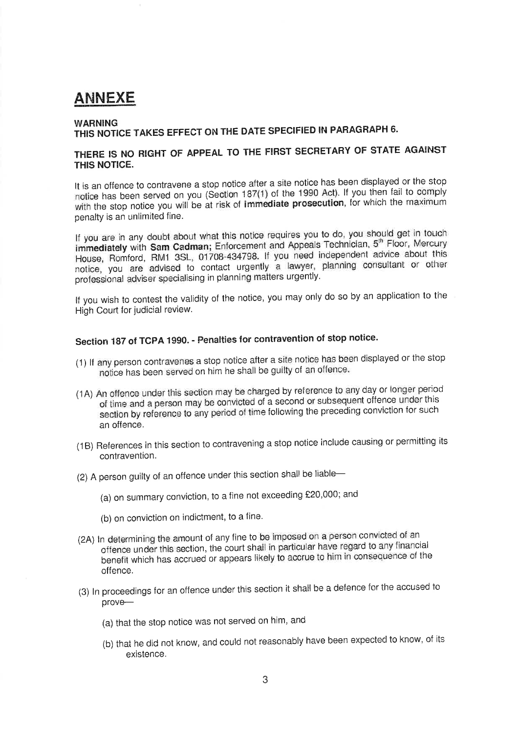# **ANNEXE**

#### **WARNING**

# **THIS NOTICE TAMES EFFECT QM THE DATE SPECIFIED IN PARAGRAPH 6.**

### **THERE IS NO RlGHT OF APPEAL TO THE FIRST SECRETARY OF STATE AGAINST THIS NOTICE.**

It is an offence to contravene a stop notice after a site notice has been displayed or the stop notice has been served on you (Section 187(1) of the 1990 Act). If you then fail to comply with the stop notice you will be at risk of **immediate prosecution,** for which the maximum penalty is an unlimited fine.

If you are in any doubt about what this notice requires you to do, you should get in touch **immediately** with **Sam Cadman;** Enforcement and Appeals Technician, 5<sup>th</sup> Floor, Mercury House, Romford, RMI 3SL, 01708-434798. If you **need independent advice** about this notice, you are **advised** to contact urgently a lawyer, planning consultant or other professional adviser specialising in planning matters urgently.

If you wish to contest the validity of the notice, you may only do so by an application to the High Court for judicial review.

## **Section 187 of TCPA 1990.** - **Penalties for contravention of stop notice.**

- (1) If any person contravenes a stop notice after a site notice has been displayed or the stop notice has been served on him he shall be guilty of an offence.
- (1A) **An** offence under this section may be charged by reference to any day or longer period **of** time and a person may be convicted of a second or subsequent offence under this section by reference to any period of time following the preceding conviction for such an offence.
- (1B) References in this section to contravening a stop notice include causing or permitting its contravention.
- (2) A person guilty of an offence under this section shall be liable-
	- (a) on surnmary conviction, to a fine not exceeding £20,000; and
	- (b) on conviction on indictment, to a fine.
- (2A) In determining the amount of any fine to be imposed on a person convicted of an offence under this section, the court shall in particular have regard to any financial benefit which has accrued or appears likely to accrue to him in consequence of the offence.
- (3) In proceedings for an offence under this section it shall be a defence for the accused to prove-
	- (a) that the stop notice was not served on him, and
	- (b) that he did not know, and could not reasonably have been expectecl to know, of its existence.